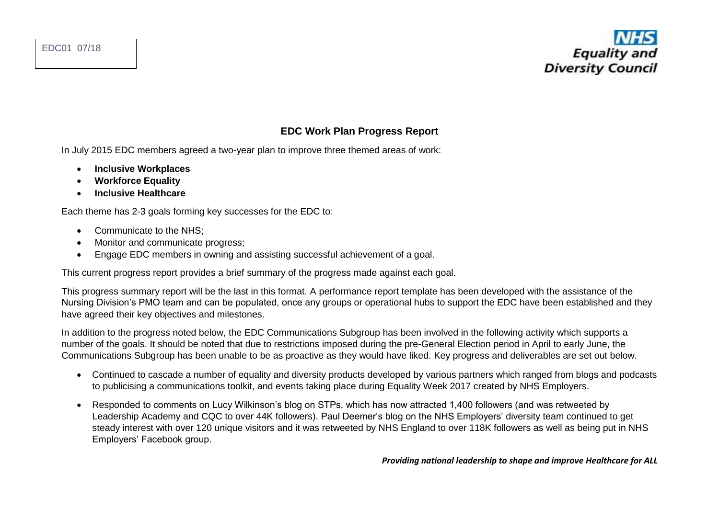## **EDC Work Plan Progress Report**

In July 2015 EDC members agreed a two-year plan to improve three themed areas of work:

- **Inclusive Workplaces**
- **Workforce Equality**
- **Inclusive Healthcare**

Each theme has 2-3 goals forming key successes for the EDC to:

- Communicate to the NHS:
- Monitor and communicate progress;
- Engage EDC members in owning and assisting successful achievement of a goal.

This current progress report provides a brief summary of the progress made against each goal.

This progress summary report will be the last in this format. A performance report template has been developed with the assistance of the Nursing Division's PMO team and can be populated, once any groups or operational hubs to support the EDC have been established and they have agreed their key objectives and milestones.

In addition to the progress noted below, the EDC Communications Subgroup has been involved in the following activity which supports a number of the goals. It should be noted that due to restrictions imposed during the pre-General Election period in April to early June, the Communications Subgroup has been unable to be as proactive as they would have liked. Key progress and deliverables are set out below.

- Continued to cascade a number of equality and diversity products developed by various partners which ranged from blogs and podcasts to publicising a communications toolkit, and events taking place during Equality Week 2017 created by NHS Employers.
- Responded to comments on Lucy Wilkinson's blog on STPs, which has now attracted 1,400 followers (and was retweeted by Leadership Academy and CQC to over 44K followers). Paul Deemer's blog on the NHS Employers' diversity team continued to get steady interest with over 120 unique visitors and it was retweeted by NHS England to over 118K followers as well as being put in NHS Employers' Facebook group.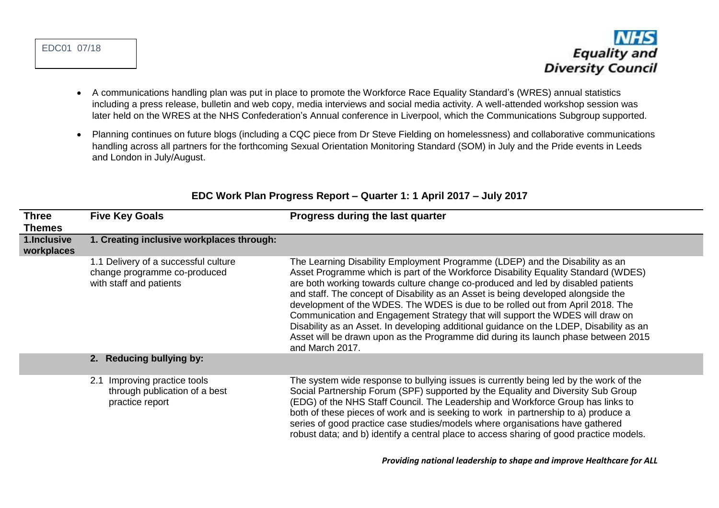

- A communications handling plan was put in place to promote the Workforce Race Equality Standard's (WRES) annual statistics including a press release, bulletin and web copy, media interviews and social media activity. A well-attended workshop session was later held on the WRES at the NHS Confederation's Annual conference in Liverpool, which the Communications Subgroup supported.
- Planning continues on future blogs (including a CQC piece from Dr Steve Fielding on homelessness) and collaborative communications handling across all partners for the forthcoming Sexual Orientation Monitoring Standard (SOM) in July and the Pride events in Leeds and London in July/August.

| <b>Three</b><br><b>Themes</b> | <b>Five Key Goals</b>                                                                           | Progress during the last quarter                                                                                                                                                                                                                                                                                                                                                                                                                                                                                                                                                                                                                                                                                   |
|-------------------------------|-------------------------------------------------------------------------------------------------|--------------------------------------------------------------------------------------------------------------------------------------------------------------------------------------------------------------------------------------------------------------------------------------------------------------------------------------------------------------------------------------------------------------------------------------------------------------------------------------------------------------------------------------------------------------------------------------------------------------------------------------------------------------------------------------------------------------------|
| 1.Inclusive<br>workplaces     | 1. Creating inclusive workplaces through:                                                       |                                                                                                                                                                                                                                                                                                                                                                                                                                                                                                                                                                                                                                                                                                                    |
|                               | 1.1 Delivery of a successful culture<br>change programme co-produced<br>with staff and patients | The Learning Disability Employment Programme (LDEP) and the Disability as an<br>Asset Programme which is part of the Workforce Disability Equality Standard (WDES)<br>are both working towards culture change co-produced and led by disabled patients<br>and staff. The concept of Disability as an Asset is being developed alongside the<br>development of the WDES. The WDES is due to be rolled out from April 2018. The<br>Communication and Engagement Strategy that will support the WDES will draw on<br>Disability as an Asset. In developing additional guidance on the LDEP, Disability as an<br>Asset will be drawn upon as the Programme did during its launch phase between 2015<br>and March 2017. |
|                               | 2. Reducing bullying by:                                                                        |                                                                                                                                                                                                                                                                                                                                                                                                                                                                                                                                                                                                                                                                                                                    |
|                               | Improving practice tools<br>2.1<br>through publication of a best<br>practice report             | The system wide response to bullying issues is currently being led by the work of the<br>Social Partnership Forum (SPF) supported by the Equality and Diversity Sub Group<br>(EDG) of the NHS Staff Council. The Leadership and Workforce Group has links to<br>both of these pieces of work and is seeking to work in partnership to a) produce a<br>series of good practice case studies/models where organisations have gathered<br>robust data; and b) identify a central place to access sharing of good practice models.                                                                                                                                                                                     |

## **EDC Work Plan Progress Report – Quarter 1: 1 April 2017 – July 2017**

 *Providing national leadership to shape and improve Healthcare for ALL*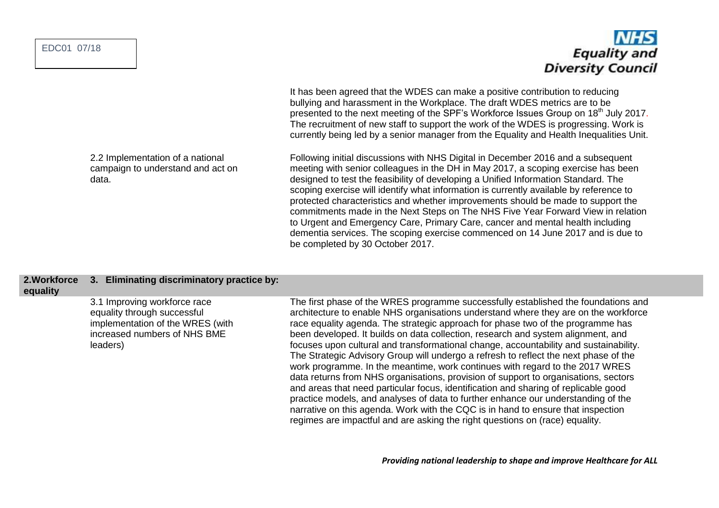EDC01 07/18

## **Equality and Diversity Council**

It has been agreed that the WDES can make a positive contribution to reducing bullying and harassment in the Workplace. The draft WDES metrics are to be presented to the next meeting of the SPF's Workforce Issues Group on 18<sup>th</sup> July 2017. The recruitment of new staff to support the work of the WDES is progressing. Work is currently being led by a senior manager from the Equality and Health Inequalities Unit.

Following initial discussions with NHS Digital in December 2016 and a subsequent meeting with senior colleagues in the DH in May 2017, a scoping exercise has been designed to test the feasibility of developing a Unified Information Standard. The scoping exercise will identify what information is currently available by reference to protected characteristics and whether improvements should be made to support the commitments made in the Next Steps on The NHS Five Year Forward View in relation to Urgent and Emergency Care, Primary Care, cancer and mental health including dementia services. The scoping exercise commenced on 14 June 2017 and is due to be completed by 30 October 2017.

## **2.Workforce 3. Eliminating discriminatory practice by:**

**equality**

3.1 Improving workforce race equality through successful implementation of the WRES (with increased numbers of NHS BME leaders)

The first phase of the WRES programme successfully established the foundations and architecture to enable NHS organisations understand where they are on the workforce race equality agenda. The strategic approach for phase two of the programme has been developed. It builds on data collection, research and system alignment, and focuses upon cultural and transformational change, accountability and sustainability. The Strategic Advisory Group will undergo a refresh to reflect the next phase of the work programme. In the meantime, work continues with regard to the 2017 WRES data returns from NHS organisations, provision of support to organisations, sectors and areas that need particular focus, identification and sharing of replicable good practice models, and analyses of data to further enhance our understanding of the narrative on this agenda. Work with the CQC is in hand to ensure that inspection regimes are impactful and are asking the right questions on (race) equality.

2.2 Implementation of a national campaign to understand and act on data.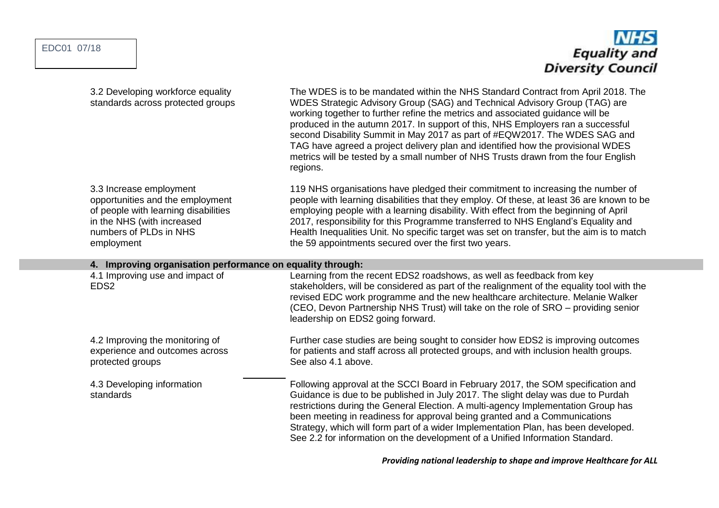| EDC01 07/18 |  |
|-------------|--|
|-------------|--|



| 3.2 Developing workforce equality<br>standards across protected groups                                                                                                    | The WDES is to be mandated within the NHS Standard Contract from April 2018. The<br>WDES Strategic Advisory Group (SAG) and Technical Advisory Group (TAG) are<br>working together to further refine the metrics and associated guidance will be<br>produced in the autumn 2017. In support of this, NHS Employers ran a successful<br>second Disability Summit in May 2017 as part of #EQW2017. The WDES SAG and<br>TAG have agreed a project delivery plan and identified how the provisional WDES<br>metrics will be tested by a small number of NHS Trusts drawn from the four English<br>regions. |  |  |  |
|---------------------------------------------------------------------------------------------------------------------------------------------------------------------------|--------------------------------------------------------------------------------------------------------------------------------------------------------------------------------------------------------------------------------------------------------------------------------------------------------------------------------------------------------------------------------------------------------------------------------------------------------------------------------------------------------------------------------------------------------------------------------------------------------|--|--|--|
| 3.3 Increase employment<br>opportunities and the employment<br>of people with learning disabilities<br>in the NHS (with increased<br>numbers of PLDs in NHS<br>employment | 119 NHS organisations have pledged their commitment to increasing the number of<br>people with learning disabilities that they employ. Of these, at least 36 are known to be<br>employing people with a learning disability. With effect from the beginning of April<br>2017, responsibility for this Programme transferred to NHS England's Equality and<br>Health Inequalities Unit. No specific target was set on transfer, but the aim is to match<br>the 59 appointments secured over the first two years.                                                                                        |  |  |  |
| 4. Improving organisation performance on equality through:                                                                                                                |                                                                                                                                                                                                                                                                                                                                                                                                                                                                                                                                                                                                        |  |  |  |
| 4.1 Improving use and impact of<br>EDS <sub>2</sub>                                                                                                                       | Learning from the recent EDS2 roadshows, as well as feedback from key<br>stakeholders, will be considered as part of the realignment of the equality tool with the<br>revised EDC work programme and the new healthcare architecture. Melanie Walker<br>(CEO, Devon Partnership NHS Trust) will take on the role of SRO – providing senior<br>leadership on EDS2 going forward.                                                                                                                                                                                                                        |  |  |  |
| 4.2 Improving the monitoring of<br>experience and outcomes across<br>protected groups                                                                                     | Further case studies are being sought to consider how EDS2 is improving outcomes<br>for patients and staff across all protected groups, and with inclusion health groups.<br>See also 4.1 above.                                                                                                                                                                                                                                                                                                                                                                                                       |  |  |  |
| 4.3 Developing information<br>standards                                                                                                                                   | Following approval at the SCCI Board in February 2017, the SOM specification and<br>Guidance is due to be published in July 2017. The slight delay was due to Purdah<br>restrictions during the General Election. A multi-agency Implementation Group has<br>been meeting in readiness for approval being granted and a Communications<br>Strategy, which will form part of a wider Implementation Plan, has been developed.<br>See 2.2 for information on the development of a Unified Information Standard.                                                                                          |  |  |  |